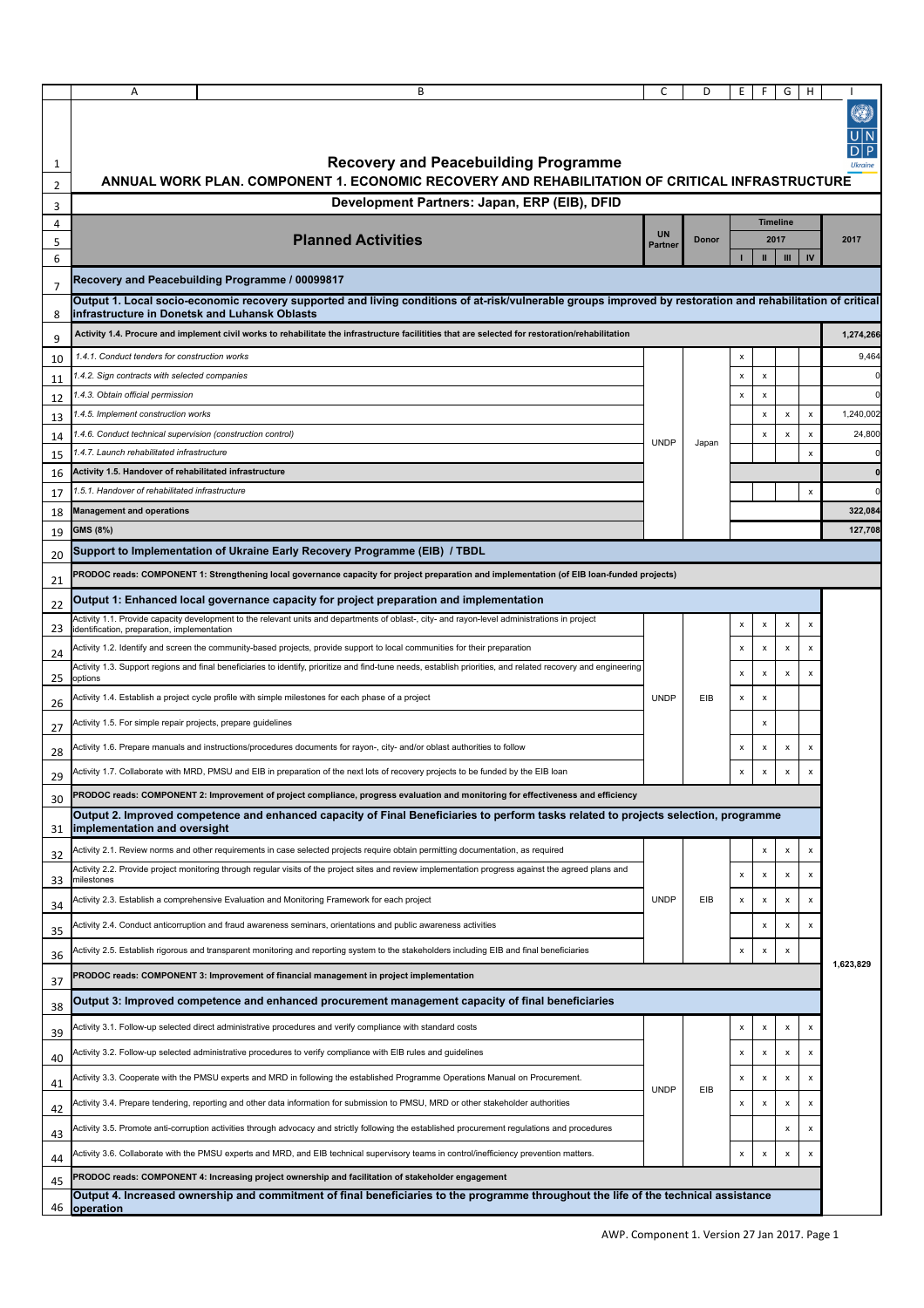|                     | Α                                                                                                                                                                                                                                                               | B                                                                                                                                                             | C              | D     | Ε |                 | G                  | н                  | Ø)                   |  |
|---------------------|-----------------------------------------------------------------------------------------------------------------------------------------------------------------------------------------------------------------------------------------------------------------|---------------------------------------------------------------------------------------------------------------------------------------------------------------|----------------|-------|---|-----------------|--------------------|--------------------|----------------------|--|
| 1                   |                                                                                                                                                                                                                                                                 | <b>Recovery and Peacebuilding Programme</b>                                                                                                                   |                |       |   |                 |                    |                    |                      |  |
| 2                   |                                                                                                                                                                                                                                                                 | ANNUAL WORK PLAN. COMPONENT 1. ECONOMIC RECOVERY AND REHABILITATION OF CRITICAL INFRASTRUCTURE                                                                |                |       |   |                 |                    |                    |                      |  |
| 3                   | Development Partners: Japan, ERP (EIB), DFID                                                                                                                                                                                                                    |                                                                                                                                                               |                |       |   |                 |                    |                    |                      |  |
| 4                   |                                                                                                                                                                                                                                                                 |                                                                                                                                                               | <b>UN</b>      |       |   | <b>Timeline</b> |                    |                    |                      |  |
| 5<br>6              |                                                                                                                                                                                                                                                                 | <b>Planned Activities</b>                                                                                                                                     | <b>Partner</b> | Donor |   | 2017<br>Ш       | $\mathbf{m}$       | IV                 | 2017                 |  |
|                     |                                                                                                                                                                                                                                                                 |                                                                                                                                                               |                |       |   |                 |                    |                    |                      |  |
| $\overline{7}$<br>8 | Recovery and Peacebuilding Programme / 00099817<br>Output 1. Local socio-economic recovery supported and living conditions of at-risk/vulnerable groups improved by restoration and rehabilitation of critical<br>infrastructure in Donetsk and Luhansk Oblasts |                                                                                                                                                               |                |       |   |                 |                    |                    |                      |  |
| 9                   |                                                                                                                                                                                                                                                                 | Activity 1.4. Procure and implement civil works to rehabilitate the infrastructure facilitities that are selected for restoration/rehabilitation              |                |       |   |                 |                    |                    | 1,274,266            |  |
| 10                  | 1.4.1. Conduct tenders for construction works                                                                                                                                                                                                                   |                                                                                                                                                               |                |       | х |                 |                    |                    | 9,464                |  |
| 11                  | 1.4.2. Sign contracts with selected companies                                                                                                                                                                                                                   |                                                                                                                                                               |                |       | x | x               |                    |                    |                      |  |
| 12                  | 1.4.3. Obtain official permission                                                                                                                                                                                                                               |                                                                                                                                                               |                |       | х | x               |                    |                    |                      |  |
| 13                  | 1.4.5. Implement construction works                                                                                                                                                                                                                             |                                                                                                                                                               |                |       |   | X               | $\pmb{\times}$     | $\pmb{\times}$     | 1,240,002            |  |
| 14                  | 1.4.6. Conduct technical supervision (construction control)                                                                                                                                                                                                     |                                                                                                                                                               | <b>UNDP</b>    | Japan |   | x               | $\pmb{\times}$     | x                  | 24,800               |  |
| 15                  | 1.4.7. Launch rehabilitated infrastructure                                                                                                                                                                                                                      |                                                                                                                                                               |                |       |   |                 |                    | $\pmb{\times}$     | $\Omega$             |  |
| 16                  | Activity 1.5. Handover of rehabilitated infrastructure                                                                                                                                                                                                          |                                                                                                                                                               |                |       |   |                 |                    |                    | $\Omega$<br>$\Omega$ |  |
| 17                  | 1.5.1. Handover of rehabilitated infrastructure<br><b>Management and operations</b>                                                                                                                                                                             |                                                                                                                                                               |                |       |   |                 |                    | $\pmb{\times}$     | 322,084              |  |
| 18<br>19            | GMS (8%)                                                                                                                                                                                                                                                        |                                                                                                                                                               |                |       |   |                 |                    |                    | 127,708              |  |
|                     |                                                                                                                                                                                                                                                                 | Support to Implementation of Ukraine Early Recovery Programme (EIB) / TBDL                                                                                    |                |       |   |                 |                    |                    |                      |  |
| 20                  |                                                                                                                                                                                                                                                                 | PRODOC reads: COMPONENT 1: Strengthening local governance capacity for project preparation and implementation (of EIB loan-funded projects)                   |                |       |   |                 |                    |                    |                      |  |
| 21<br>22            |                                                                                                                                                                                                                                                                 | Output 1: Enhanced local governance capacity for project preparation and implementation                                                                       |                |       |   |                 |                    |                    |                      |  |
| 23                  | identification, preparation, implementation                                                                                                                                                                                                                     | Activity 1.1. Provide capacity development to the relevant units and departments of oblast-, city- and rayon-level administrations in project                 |                |       | x | х               | x                  | х                  |                      |  |
|                     |                                                                                                                                                                                                                                                                 | Activity 1.2. Identify and screen the community-based projects, provide support to local communities for their preparation                                    |                |       | х | x               | х                  | x                  |                      |  |
| 24                  |                                                                                                                                                                                                                                                                 | Activity 1.3. Support regions and final beneficiaries to identify, prioritize and find-tune needs, establish priorities, and related recovery and engineering |                |       | x | x               | $\pmb{\times}$     | x                  |                      |  |
| 25<br>26            | options                                                                                                                                                                                                                                                         | Activity 1.4. Establish a project cycle profile with simple milestones for each phase of a project                                                            | <b>UNDP</b>    | EIB   | x | $\pmb{\times}$  |                    |                    |                      |  |
| 27                  | Activity 1.5. For simple repair projects, prepare guidelines                                                                                                                                                                                                    |                                                                                                                                                               |                |       |   | x               |                    |                    |                      |  |
| 28                  |                                                                                                                                                                                                                                                                 | Activity 1.6. Prepare manuals and instructions/procedures documents for rayon-, city- and/or oblast authorities to follow                                     |                |       | x | x               | $\pmb{\times}$     | x                  |                      |  |
| 29                  |                                                                                                                                                                                                                                                                 | Activity 1.7. Collaborate with MRD, PMSU and EIB in preparation of the next lots of recovery projects to be funded by the EIB loan                            |                |       | х | X               |                    |                    |                      |  |
| 30                  |                                                                                                                                                                                                                                                                 | PRODOC reads: COMPONENT 2: Improvement of project compliance, progress evaluation and monitoring for effectiveness and efficiency                             |                |       |   |                 |                    |                    |                      |  |
| 31                  | implementation and oversight                                                                                                                                                                                                                                    | Output 2. Improved competence and enhanced capacity of Final Beneficiaries to perform tasks related to projects selection, programme                          |                |       |   |                 |                    |                    |                      |  |
| 32                  |                                                                                                                                                                                                                                                                 | Activity 2.1. Review norms and other requirements in case selected projects require obtain permitting documentation, as required                              |                |       |   | x               | $\pmb{\times}$     | $\pmb{\mathsf{x}}$ |                      |  |
| 33                  | milestones                                                                                                                                                                                                                                                      | Activity 2.2. Provide project monitoring through regular visits of the project sites and review implementation progress against the agreed plans and          |                |       | х | х               | х                  | х                  | 1,623,829            |  |
| 34                  |                                                                                                                                                                                                                                                                 | Activity 2.3. Establish a comprehensive Evaluation and Monitoring Framework for each project                                                                  | <b>UNDP</b>    | EIB   | x | x               | x                  | x                  |                      |  |
| 35                  |                                                                                                                                                                                                                                                                 | Activity 2.4. Conduct anticorruption and fraud awareness seminars, orientations and public awareness activities                                               |                |       |   | x               | x                  | x                  |                      |  |
| 36                  |                                                                                                                                                                                                                                                                 | Activity 2.5. Establish rigorous and transparent monitoring and reporting system to the stakeholders including EIB and final beneficiaries                    |                |       | х | x               | x                  |                    |                      |  |
| 37                  |                                                                                                                                                                                                                                                                 | PRODOC reads: COMPONENT 3: Improvement of financial management in project implementation                                                                      |                |       |   |                 |                    |                    |                      |  |
| 38                  |                                                                                                                                                                                                                                                                 | Output 3: Improved competence and enhanced procurement management capacity of final beneficiaries                                                             |                |       |   |                 |                    |                    |                      |  |
| 39                  |                                                                                                                                                                                                                                                                 | Activity 3.1. Follow-up selected direct administrative procedures and verify compliance with standard costs                                                   |                |       | x | X               | $\pmb{\times}$     | $\pmb{\times}$     |                      |  |
| 40                  |                                                                                                                                                                                                                                                                 | Activity 3.2. Follow-up selected administrative procedures to verify compliance with EIB rules and guidelines                                                 |                |       | x | х               | х                  | х                  |                      |  |
| 41                  |                                                                                                                                                                                                                                                                 | Activity 3.3. Cooperate with the PMSU experts and MRD in following the established Programme Operations Manual on Procurement.                                | <b>UNDP</b>    | EIB   | х | x               | x                  | x                  |                      |  |
| 42                  |                                                                                                                                                                                                                                                                 | Activity 3.4. Prepare tendering, reporting and other data information for submission to PMSU, MRD or other stakeholder authorities                            |                |       | x | X               | x                  | x                  |                      |  |
| 43                  |                                                                                                                                                                                                                                                                 | Activity 3.5. Promote anti-corruption activities through advocacy and strictly following the established procurement regulations and procedures               |                |       |   |                 | x                  | X                  |                      |  |
| 44                  |                                                                                                                                                                                                                                                                 | Activity 3.6. Collaborate with the PMSU experts and MRD, and EIB technical supervisory teams in control/inefficiency prevention matters.                      |                |       | x | $\pmb{\times}$  | $\pmb{\mathsf{x}}$ | x                  |                      |  |
| 45                  |                                                                                                                                                                                                                                                                 | PRODOC reads: COMPONENT 4: Increasing project ownership and facilitation of stakeholder engagement                                                            |                |       |   |                 |                    |                    |                      |  |
| 46                  | operation                                                                                                                                                                                                                                                       | Output 4. Increased ownership and commitment of final beneficiaries to the programme throughout the life of the technical assistance                          |                |       |   |                 |                    |                    |                      |  |